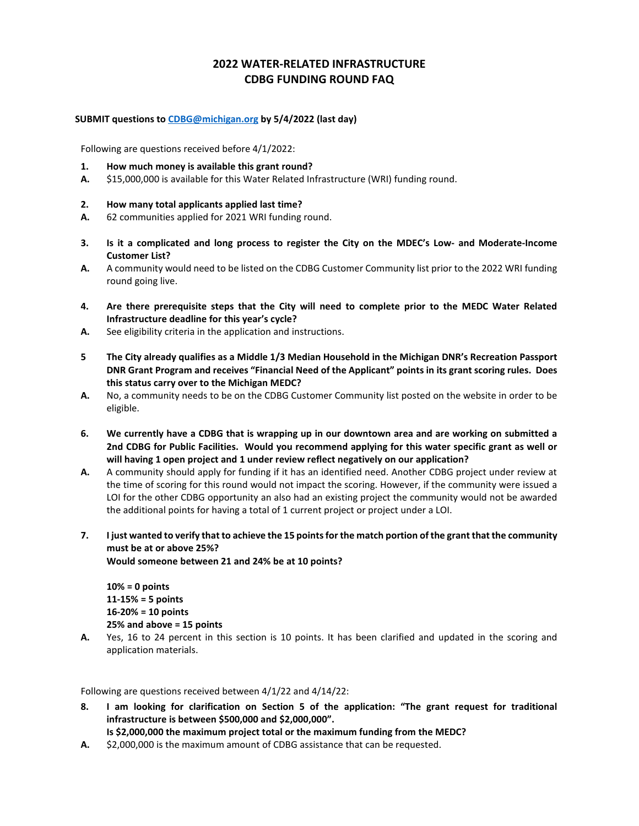## **2022 WATER-RELATED INFRASTRUCTURE CDBG FUNDING ROUND FAQ**

### **SUBMIT questions to [CDBG@michigan.org](mailto:CDBG@michigan.org) by 5/4/2022 (last day)**

Following are questions received before 4/1/2022:

- **1. How much money is available this grant round?**
- **A.** \$15,000,000 is available for this Water Related Infrastructure (WRI) funding round.

### **2. How many total applicants applied last time?**

- **A.** 62 communities applied for 2021 WRI funding round.
- **3. Is it a complicated and long process to register the City on the MDEC's Low- and Moderate-Income Customer List?**
- **A.** A community would need to be listed on the CDBG Customer Community list prior to the 2022 WRI funding round going live.
- **4. Are there prerequisite steps that the City will need to complete prior to the MEDC Water Related Infrastructure deadline for this year's cycle?**
- **A.** See eligibility criteria in the application and instructions.
- **5 The City already qualifies as a Middle 1/3 Median Household in the Michigan DNR's Recreation Passport DNR Grant Program and receives "Financial Need of the Applicant" points in its grant scoring rules. Does this status carry over to the Michigan MEDC?**
- **A.** No, a community needs to be on the CDBG Customer Community list posted on the website in order to be eligible.
- **6. We currently have a CDBG that is wrapping up in our downtown area and are working on submitted a 2nd CDBG for Public Facilities. Would you recommend applying for this water specific grant as well or will having 1 open project and 1 under review reflect negatively on our application?**
- **A.** A community should apply for funding if it has an identified need. Another CDBG project under review at the time of scoring for this round would not impact the scoring. However, if the community were issued a LOI for the other CDBG opportunity an also had an existing project the community would not be awarded the additional points for having a total of 1 current project or project under a LOI.
- **7. I just wanted to verify that to achieve the 15 points for the match portion of the grant that the community must be at or above 25%?**

**Would someone between 21 and 24% be at 10 points?**

**10% = 0 points 11-15% = 5 points 16-20% = 10 points 25% and above = 15 points**

**A.** Yes, 16 to 24 percent in this section is 10 points. It has been clarified and updated in the scoring and application materials.

Following are questions received between 4/1/22 and 4/14/22:

- **8. I am looking for clarification on Section 5 of the application: "The grant request for traditional infrastructure is between \$500,000 and \$2,000,000".**
	- **Is \$2,000,000 the maximum project total or the maximum funding from the MEDC?**
- **A.** \$2,000,000 is the maximum amount of CDBG assistance that can be requested.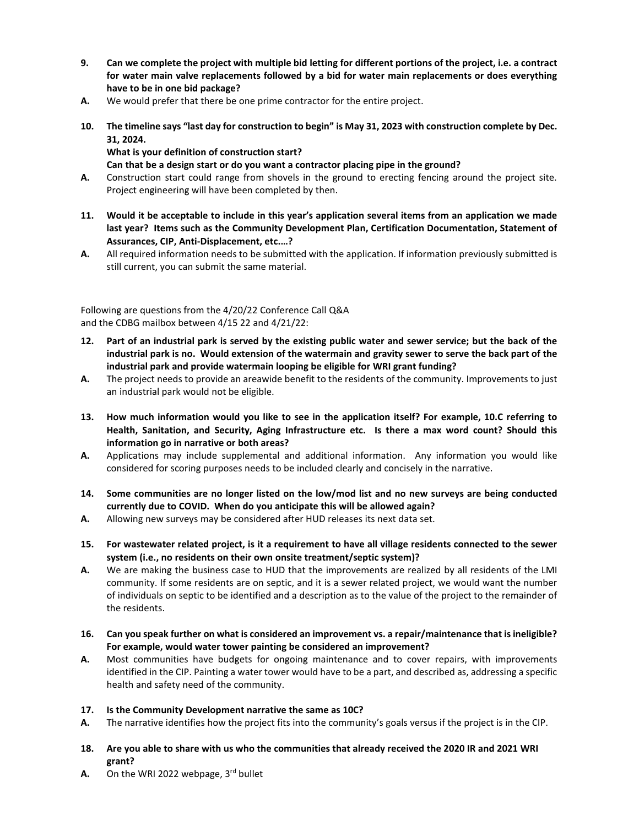- **9. Can we complete the project with multiple bid letting for different portions of the project, i.e. a contract for water main valve replacements followed by a bid for water main replacements or does everything have to be in one bid package?**
- **A.** We would prefer that there be one prime contractor for the entire project.
- **10. The timeline says "last day for construction to begin" is May 31, 2023 with construction complete by Dec. 31, 2024.**

# **What is your definition of construction start?**

### **Can that be a design start or do you want a contractor placing pipe in the ground?**

- **A.** Construction start could range from shovels in the ground to erecting fencing around the project site. Project engineering will have been completed by then.
- **11. Would it be acceptable to include in this year's application several items from an application we made last year? Items such as the Community Development Plan, Certification Documentation, Statement of Assurances, CIP, Anti-Displacement, etc.…?**
- **A.** All required information needs to be submitted with the application. If information previously submitted is still current, you can submit the same material.

Following are questions from the 4/20/22 Conference Call Q&A and the CDBG mailbox between 4/15 22 and 4/21/22:

- **12. Part of an industrial park is served by the existing public water and sewer service; but the back of the industrial park is no. Would extension of the watermain and gravity sewer to serve the back part of the industrial park and provide watermain looping be eligible for WRI grant funding?**
- **A.** The project needs to provide an areawide benefit to the residents of the community. Improvements to just an industrial park would not be eligible.
- **13. How much information would you like to see in the application itself? For example, 10.C referring to Health, Sanitation, and Security, Aging Infrastructure etc. Is there a max word count? Should this information go in narrative or both areas?**
- **A.** Applications may include supplemental and additional information. Any information you would like considered for scoring purposes needs to be included clearly and concisely in the narrative.
- **14. Some communities are no longer listed on the low/mod list and no new surveys are being conducted currently due to COVID. When do you anticipate this will be allowed again?**
- **A.** Allowing new surveys may be considered after HUD releases its next data set.
- **15. For wastewater related project, is it a requirement to have all village residents connected to the sewer system (i.e., no residents on their own onsite treatment/septic system)?**
- **A.** We are making the business case to HUD that the improvements are realized by all residents of the LMI community. If some residents are on septic, and it is a sewer related project, we would want the number of individuals on septic to be identified and a description as to the value of the project to the remainder of the residents.
- **16. Can you speak further on what is considered an improvement vs. a repair/maintenance that is ineligible? For example, would water tower painting be considered an improvement?**
- **A.** Most communities have budgets for ongoing maintenance and to cover repairs, with improvements identified in the CIP. Painting a water tower would have to be a part, and described as, addressing a specific health and safety need of the community.

#### **17. Is the Community Development narrative the same as 10C?**

- **A.** The narrative identifies how the project fits into the community's goals versus if the project is in the CIP.
- **18. Are you able to share with us who the communities that already received the 2020 IR and 2021 WRI grant?**
- A. On the WRI 2022 webpage, 3rd bullet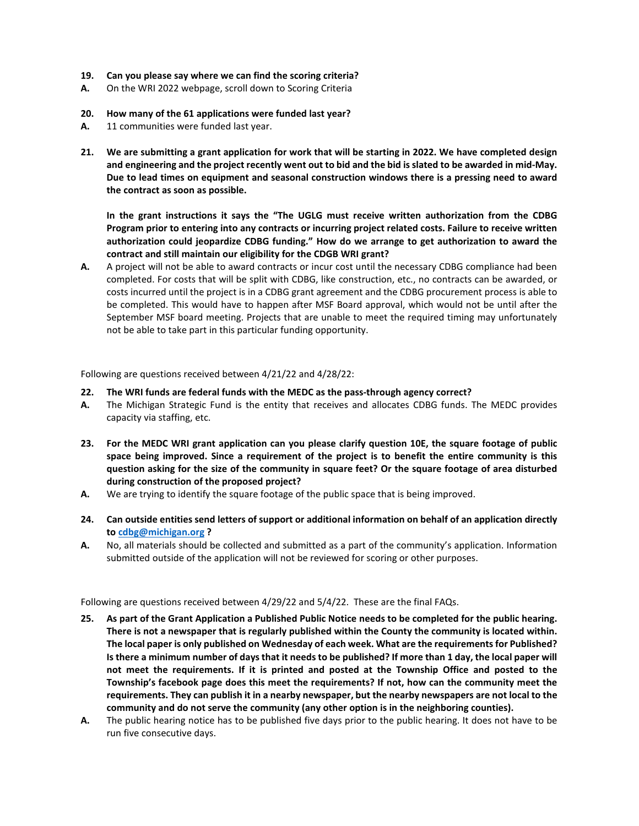- **19. Can you please say where we can find the scoring criteria?**
- **A.** On the WRI 2022 webpage, scroll down to Scoring Criteria
- **20. How many of the 61 applications were funded last year?**
- **A.** 11 communities were funded last year.
- **21. We are submitting a grant application for work that will be starting in 2022. We have completed design and engineering and the project recently went out to bid and the bid is slated to be awarded in mid-May. Due to lead times on equipment and seasonal construction windows there is a pressing need to award the contract as soon as possible.**

**In the grant instructions it says the "The UGLG must receive written authorization from the CDBG Program prior to entering into any contracts or incurring project related costs. Failure to receive written authorization could jeopardize CDBG funding." How do we arrange to get authorization to award the contract and still maintain our eligibility for the CDGB WRI grant?**

**A.** A project will not be able to award contracts or incur cost until the necessary CDBG compliance had been completed. For costs that will be split with CDBG, like construction, etc., no contracts can be awarded, or costs incurred until the project is in a CDBG grant agreement and the CDBG procurement process is able to be completed. This would have to happen after MSF Board approval, which would not be until after the September MSF board meeting. Projects that are unable to meet the required timing may unfortunately not be able to take part in this particular funding opportunity.

Following are questions received between 4/21/22 and 4/28/22:

- **22. The WRI funds are federal funds with the MEDC as the pass-through agency correct?**
- **A.** The Michigan Strategic Fund is the entity that receives and allocates CDBG funds. The MEDC provides capacity via staffing, etc.
- **23. For the MEDC WRI grant application can you please clarify question 10E, the square footage of public space being improved. Since a requirement of the project is to benefit the entire community is this question asking for the size of the community in square feet? Or the square footage of area disturbed during construction of the proposed project?**
- **A.** We are trying to identify the square footage of the public space that is being improved.
- **24. Can outside entities send letters of support or additional information on behalf of an application directly t[o cdbg@michigan.org](mailto:cdbg@michigan.org) ?**
- **A.** No, all materials should be collected and submitted as a part of the community's application. Information submitted outside of the application will not be reviewed for scoring or other purposes.

Following are questions received between 4/29/22 and 5/4/22. These are the final FAQs.

- **25. As part of the Grant Application a Published Public Notice needs to be completed for the public hearing. There is not a newspaper that is regularly published within the County the community is located within. The local paper is only published on Wednesday of each week. What are the requirements for Published? Is there a minimum number of days that it needs to be published? If more than 1 day, the local paper will not meet the requirements. If it is printed and posted at the Township Office and posted to the Township's facebook page does this meet the requirements? If not, how can the community meet the requirements. They can publish it in a nearby newspaper, but the nearby newspapers are not local to the community and do not serve the community (any other option is in the neighboring counties).**
- **A.** The public hearing notice has to be published five days prior to the public hearing. It does not have to be run five consecutive days.